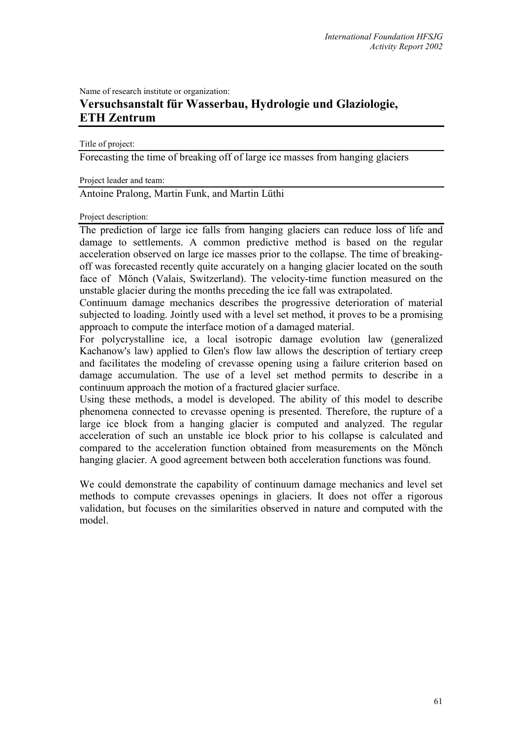Name of research institute or organization:

## **Versuchsanstalt für Wasserbau, Hydrologie und Glaziologie, ETH Zentrum**

Title of project:

Forecasting the time of breaking off of large ice masses from hanging glaciers

Project leader and team:

Antoine Pralong, Martin Funk, and Martin Lüthi

Project description:

The prediction of large ice falls from hanging glaciers can reduce loss of life and damage to settlements. A common predictive method is based on the regular acceleration observed on large ice masses prior to the collapse. The time of breakingoff was forecasted recently quite accurately on a hanging glacier located on the south face of Mönch (Valais, Switzerland). The velocity-time function measured on the unstable glacier during the months preceding the ice fall was extrapolated.

Continuum damage mechanics describes the progressive deterioration of material subjected to loading. Jointly used with a level set method, it proves to be a promising approach to compute the interface motion of a damaged material.

For polycrystalline ice, a local isotropic damage evolution law (generalized Kachanow's law) applied to Glen's flow law allows the description of tertiary creep and facilitates the modeling of crevasse opening using a failure criterion based on damage accumulation. The use of a level set method permits to describe in a continuum approach the motion of a fractured glacier surface.

Using these methods, a model is developed. The ability of this model to describe phenomena connected to crevasse opening is presented. Therefore, the rupture of a large ice block from a hanging glacier is computed and analyzed. The regular acceleration of such an unstable ice block prior to his collapse is calculated and compared to the acceleration function obtained from measurements on the Mönch hanging glacier. A good agreement between both acceleration functions was found.

We could demonstrate the capability of continuum damage mechanics and level set methods to compute crevasses openings in glaciers. It does not offer a rigorous validation, but focuses on the similarities observed in nature and computed with the model.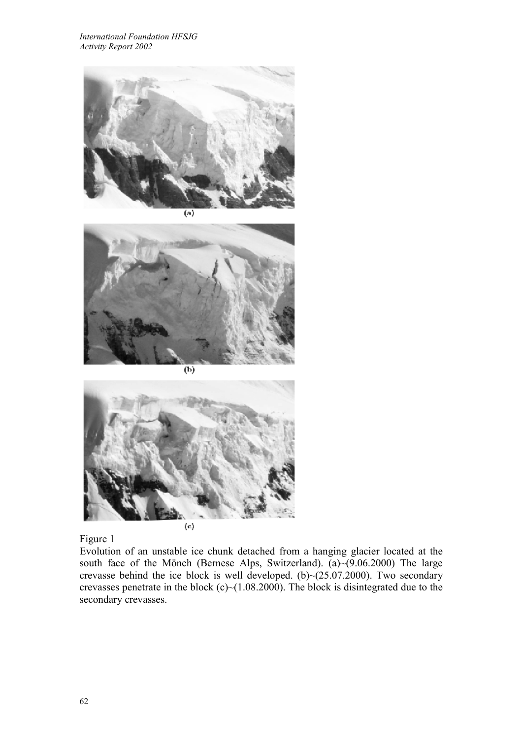

(a)



 $\overline{(\mathbf{b})}$ 



Figure 1

Evolution of an unstable ice chunk detached from a hanging glacier located at the south face of the Mönch (Bernese Alps, Switzerland).  $\tilde{a}$  (9.06.2000) The large crevasse behind the ice block is well developed. (b) $\sim$ (25.07.2000). Two secondary crevasses penetrate in the block (c)~ $(1.08.2000)$ . The block is disintegrated due to the secondary crevasses.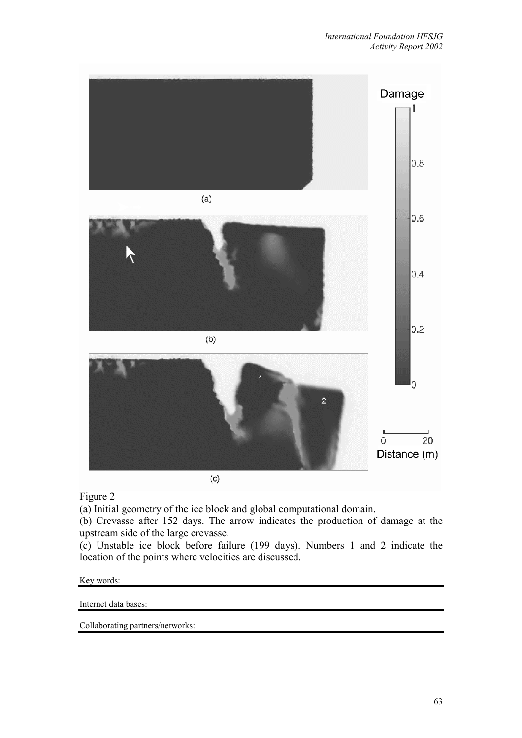

Figure 2

(a) Initial geometry of the ice block and global computational domain.

(b) Crevasse after 152 days. The arrow indicates the production of damage at the upstream side of the large crevasse.

(c) Unstable ice block before failure (199 days). Numbers 1 and 2 indicate the location of the points where velocities are discussed.

Key words:

Internet data bases:

Collaborating partners/networks: